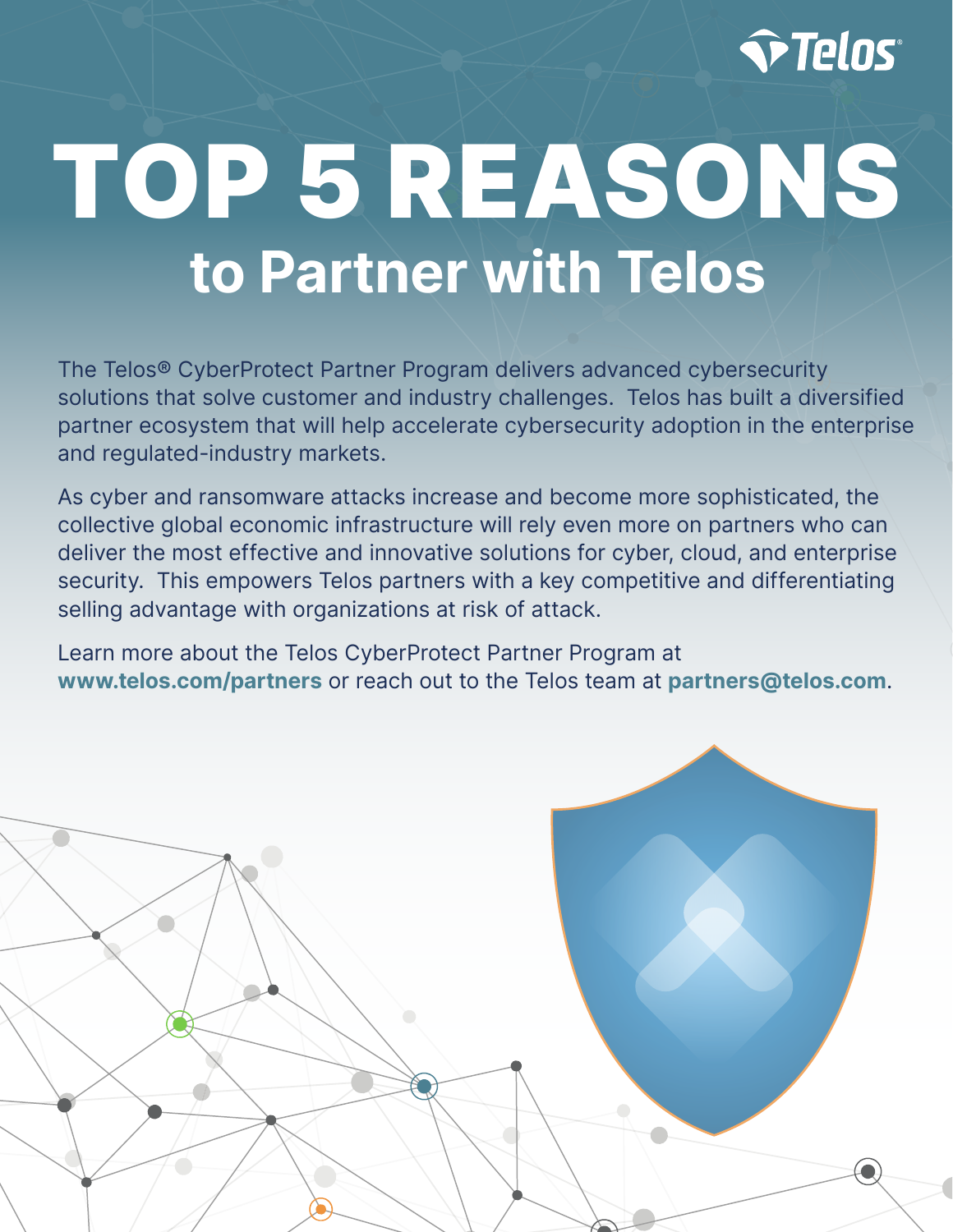

# TOP 5 REASONS to Partner with Telos

The Telos® CyberProtect Partner Program delivers advanced cybersecurity solutions that solve customer and industry challenges. Telos has built a diversified partner ecosystem that will help accelerate cybersecurity adoption in the enterprise and regulated-industry markets.

As cyber and ransomware attacks increase and become more sophisticated, the collective global economic infrastructure will rely even more on partners who can deliver the most effective and innovative solutions for cyber, cloud, and enterprise security. This empowers Telos partners with a key competitive and differentiating selling advantage with organizations at risk of attack.

Learn more about the Telos CyberProtect Partner Program at www.telos.com/partners or reach out to the Telos team at partners@telos.com.